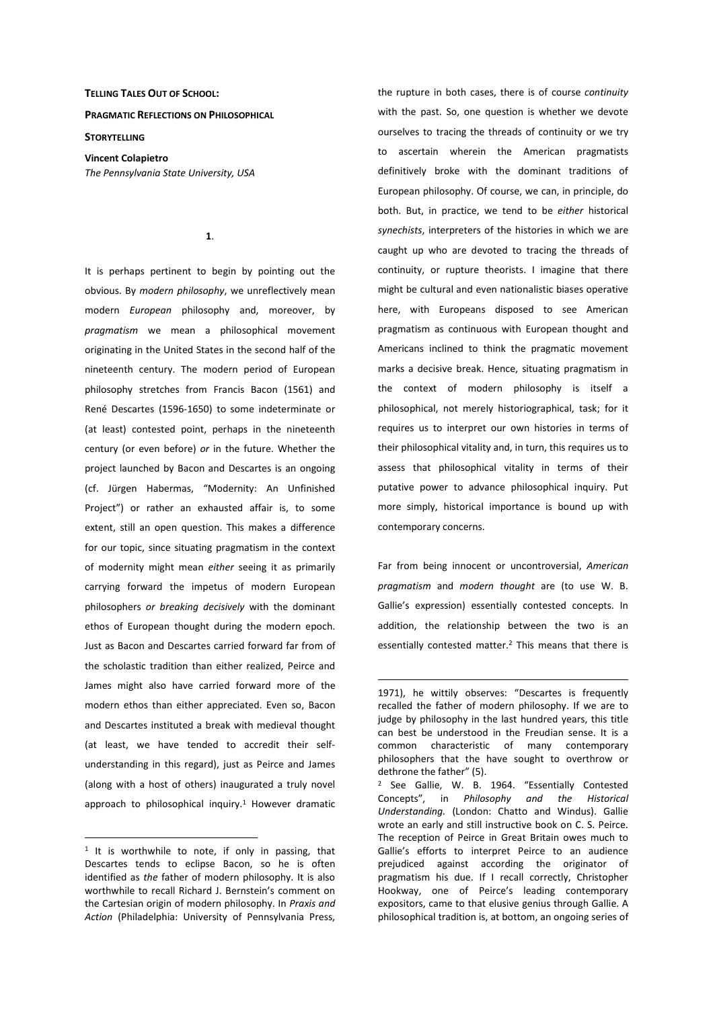## **TELLING TALES OUT OF SCHOOL:**

**PRAGMATIC REFLECTIONS ON PHILOSOPHICAL** 

**STORYTELLING**

**Vincent Colapietro**  *The Pennsylvania State University, USA* 

## **1**.

It is perhaps pertinent to begin by pointing out the obvious. By *modern philosophy*, we unreflectively mean modern *European* philosophy and, moreover, by *pragmatism* we mean a philosophical movement originating in the United States in the second half of the nineteenth century. The modern period of European philosophy stretches from Francis Bacon (1561) and René Descartes (1596-1650) to some indeterminate or (at least) contested point, perhaps in the nineteenth century (or even before) *or* in the future. Whether the project launched by Bacon and Descartes is an ongoing (cf. Jürgen Habermas, "Modernity: An Unfinished Project") or rather an exhausted affair is, to some extent, still an open question. This makes a difference for our topic, since situating pragmatism in the context of modernity might mean *either* seeing it as primarily carrying forward the impetus of modern European philosophers *or breaking decisively* with the dominant ethos of European thought during the modern epoch. Just as Bacon and Descartes carried forward far from of the scholastic tradition than either realized, Peirce and James might also have carried forward more of the modern ethos than either appreciated. Even so, Bacon and Descartes instituted a break with medieval thought (at least, we have tended to accredit their selfunderstanding in this regard), just as Peirce and James (along with a host of others) inaugurated a truly novel approach to philosophical inquiry.<sup>1</sup> However dramatic

 $\overline{a}$ 

the rupture in both cases, there is of course *continuity* with the past. So, one question is whether we devote ourselves to tracing the threads of continuity or we try to ascertain wherein the American pragmatists definitively broke with the dominant traditions of European philosophy. Of course, we can, in principle, do both. But, in practice, we tend to be *either* historical *synechists*, interpreters of the histories in which we are caught up who are devoted to tracing the threads of continuity, or rupture theorists. I imagine that there might be cultural and even nationalistic biases operative here, with Europeans disposed to see American pragmatism as continuous with European thought and Americans inclined to think the pragmatic movement marks a decisive break. Hence, situating pragmatism in the context of modern philosophy is itself a philosophical, not merely historiographical, task; for it requires us to interpret our own histories in terms of their philosophical vitality and, in turn, this requires us to assess that philosophical vitality in terms of their putative power to advance philosophical inquiry. Put more simply, historical importance is bound up with contemporary concerns.

Far from being innocent or uncontroversial, *American pragmatism* and *modern thought* are (to use W. B. Gallie's expression) essentially contested concepts. In addition, the relationship between the two is an essentially contested matter.<sup>2</sup> This means that there is

<sup>&</sup>lt;sup>1</sup> It is worthwhile to note, if only in passing, that Descartes tends to eclipse Bacon, so he is often identified as *the* father of modern philosophy. It is also worthwhile to recall Richard J. Bernstein's comment on the Cartesian origin of modern philosophy. In *Praxis and Action* (Philadelphia: University of Pennsylvania Press,

<sup>1971),</sup> he wittily observes: "Descartes is frequently recalled the father of modern philosophy. If we are to judge by philosophy in the last hundred years, this title can best be understood in the Freudian sense. It is a common characteristic of many contemporary philosophers that the have sought to overthrow or dethrone the father" (5).

<sup>&</sup>lt;sup>2</sup> See Gallie, W. B. 1964. "Essentially Contested Concepts", in *Philosophy and the Historical Understanding.* (London: Chatto and Windus). Gallie wrote an early and still instructive book on C. S. Peirce. The reception of Peirce in Great Britain owes much to Gallie's efforts to interpret Peirce to an audience prejudiced against according the originator of pragmatism his due. If I recall correctly, Christopher Hookway, one of Peirce's leading contemporary expositors, came to that elusive genius through Gallie. A philosophical tradition is, at bottom, an ongoing series of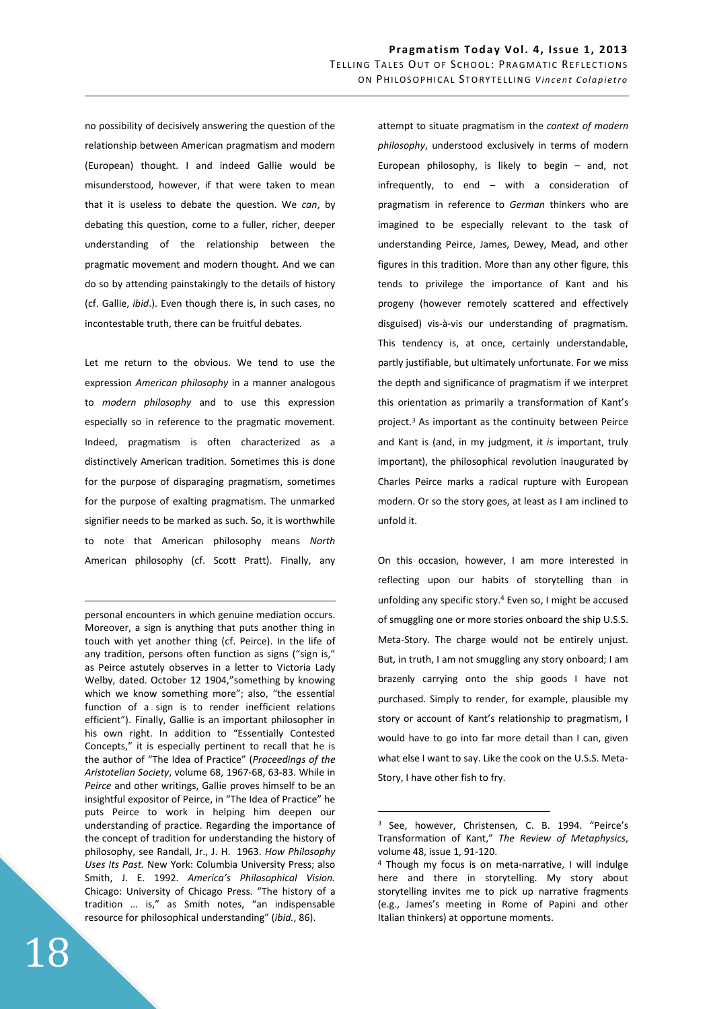no possibility of decisively answering the question of the relationship between American pragmatism and modern (European) thought. I and indeed Gallie would be misunderstood, however, if that were taken to mean that it is useless to debate the question. We *can*, by debating this question, come to a fuller, richer, deeper understanding of the relationship between the pragmatic movement and modern thought. And we can do so by attending painstakingly to the details of history (cf. Gallie, *ibid*.). Even though there is, in such cases, no incontestable truth, there can be fruitful debates.

Let me return to the obvious. We tend to use the expression *American philosophy* in a manner analogous to *modern philosophy* and to use this expression especially so in reference to the pragmatic movement. Indeed, pragmatism is often characterized as a distinctively American tradition. Sometimes this is done for the purpose of disparaging pragmatism, sometimes for the purpose of exalting pragmatism. The unmarked signifier needs to be marked as such. So, it is worthwhile to note that American philosophy means *North* American philosophy (cf. Scott Pratt). Finally, any

<u>.</u> personal encounters in which genuine mediation occurs. Moreover, a sign is anything that puts another thing in touch with yet another thing (cf. Peirce). In the life of any tradition, persons often function as signs ("sign is," as Peirce astutely observes in a letter to Victoria Lady Welby, dated. October 12 1904,"something by knowing which we know something more"; also, "the essential function of a sign is to render inefficient relations efficient"). Finally, Gallie is an important philosopher in his own right. In addition to "Essentially Contested Concepts," it is especially pertinent to recall that he is the author of "The Idea of Practice" (*Proceedings of the Aristotelian Society*, volume 68, 1967-68, 63-83. While in *Peirce* and other writings, Gallie proves himself to be an insightful expositor of Peirce, in "The Idea of Practice" he puts Peirce to work in helping him deepen our understanding of practice. Regarding the importance of the concept of tradition for understanding the history of philosophy, see Randall, Jr., J. H. 1963. *How Philosophy Uses Its Past.* New York: Columbia University Press; also Smith, J. E. 1992. *America's Philosophical Vision.*  Chicago: University of Chicago Press. "The history of a tradition … is," as Smith notes, "an indispensable resource for philosophical understanding" (*ibid.*, 86).

attempt to situate pragmatism in the *context of modern philosophy*, understood exclusively in terms of modern European philosophy, is likely to begin – and, not infrequently, to end – with a consideration of pragmatism in reference to *German* thinkers who are imagined to be especially relevant to the task of understanding Peirce, James, Dewey, Mead, and other figures in this tradition. More than any other figure, this tends to privilege the importance of Kant and his progeny (however remotely scattered and effectively disguised) vis-à-vis our understanding of pragmatism. This tendency is, at once, certainly understandable, partly justifiable, but ultimately unfortunate. For we miss the depth and significance of pragmatism if we interpret this orientation as primarily a transformation of Kant's project.<sup>3</sup> As important as the continuity between Peirce and Kant is (and, in my judgment, it *is* important, truly important), the philosophical revolution inaugurated by Charles Peirce marks a radical rupture with European modern. Or so the story goes, at least as I am inclined to unfold it.

On this occasion, however, I am more interested in reflecting upon our habits of storytelling than in unfolding any specific story.<sup>4</sup> Even so, I might be accused of smuggling one or more stories onboard the ship U.S.S. Meta-Story. The charge would not be entirely unjust. But, in truth, I am not smuggling any story onboard; I am brazenly carrying onto the ship goods I have not purchased. Simply to render, for example, plausible my story or account of Kant's relationship to pragmatism, I would have to go into far more detail than I can, given what else I want to say. Like the cook on the U.S.S. Meta-Story, I have other fish to fry.

 $\overline{a}$ 

18

<sup>3</sup> See, however, Christensen, C. B. 1994. "Peirce's Transformation of Kant," *The Review of Metaphysics*, volume 48, issue 1, 91-120.

<sup>4</sup> Though my focus is on meta-narrative, I will indulge here and there in storytelling. My story about storytelling invites me to pick up narrative fragments (e.g., James's meeting in Rome of Papini and other Italian thinkers) at opportune moments.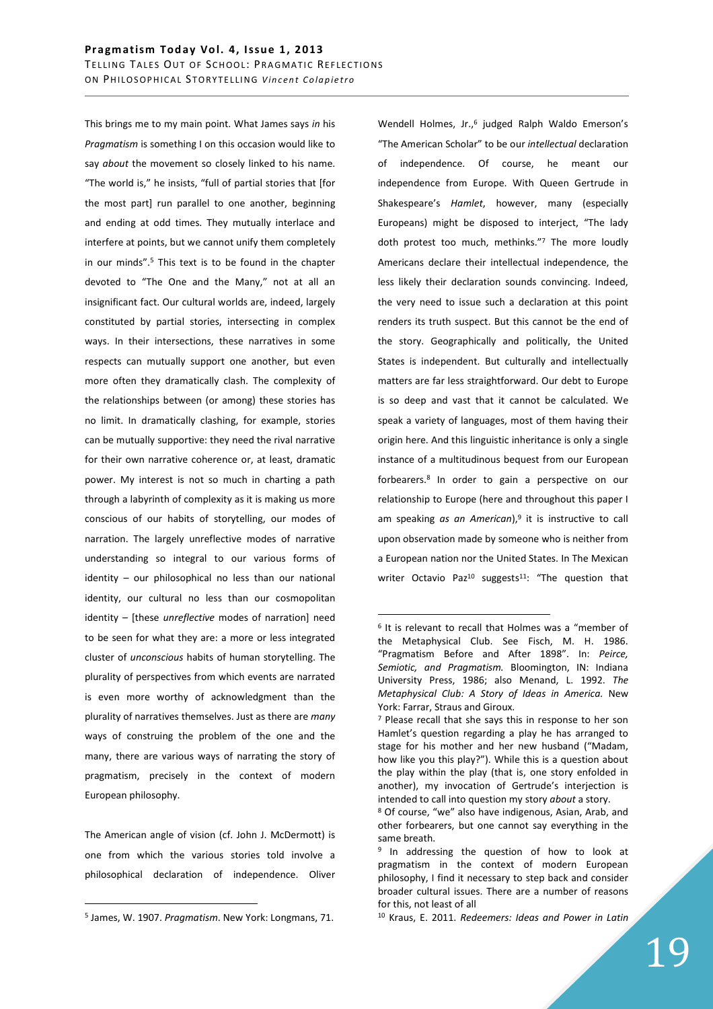This brings me to my main point. What James says *in* his *Pragmatism* is something I on this occasion would like to say *about* the movement so closely linked to his name. "The world is," he insists, "full of partial stories that [for the most part] run parallel to one another, beginning and ending at odd times. They mutually interlace and interfere at points, but we cannot unify them completely in our minds".<sup>5</sup> This text is to be found in the chapter devoted to "The One and the Many," not at all an insignificant fact. Our cultural worlds are, indeed, largely constituted by partial stories, intersecting in complex ways. In their intersections, these narratives in some respects can mutually support one another, but even more often they dramatically clash. The complexity of the relationships between (or among) these stories has no limit. In dramatically clashing, for example, stories can be mutually supportive: they need the rival narrative for their own narrative coherence or, at least, dramatic power. My interest is not so much in charting a path through a labyrinth of complexity as it is making us more conscious of our habits of storytelling, our modes of narration. The largely unreflective modes of narrative understanding so integral to our various forms of identity – our philosophical no less than our national identity, our cultural no less than our cosmopolitan identity – [these *unreflective* modes of narration] need to be seen for what they are: a more or less integrated cluster of *unconscious* habits of human storytelling. The plurality of perspectives from which events are narrated is even more worthy of acknowledgment than the plurality of narratives themselves. Just as there are *many* ways of construing the problem of the one and the many, there are various ways of narrating the story of pragmatism, precisely in the context of modern European philosophy.

The American angle of vision (cf. John J. McDermott) is one from which the various stories told involve a philosophical declaration of independence. Oliver

 $\overline{a}$ 

Wendell Holmes, Jr.,<sup>6</sup> judged Ralph Waldo Emerson's "The American Scholar" to be our *intellectual* declaration of independence. Of course, he meant our independence from Europe. With Queen Gertrude in Shakespeare's *Hamlet*, however, many (especially Europeans) might be disposed to interject, "The lady doth protest too much, methinks."7 The more loudly Americans declare their intellectual independence, the less likely their declaration sounds convincing. Indeed, the very need to issue such a declaration at this point renders its truth suspect. But this cannot be the end of the story. Geographically and politically, the United States is independent. But culturally and intellectually matters are far less straightforward. Our debt to Europe is so deep and vast that it cannot be calculated. We speak a variety of languages, most of them having their origin here. And this linguistic inheritance is only a single instance of a multitudinous bequest from our European forbearers.<sup>8</sup> In order to gain a perspective on our relationship to Europe (here and throughout this paper I am speaking *as an American*),<sup>9</sup> it is instructive to call upon observation made by someone who is neither from a European nation nor the United States. In The Mexican writer Octavio Paz<sup>10</sup> suggests<sup>11</sup>: "The question that

 $\overline{a}$ 

10 Kraus, E. 2011. *Redeemers: Ideas and Power in Latin* 

<sup>5</sup> James, W. 1907. *Pragmatism*. New York: Longmans, 71.

<sup>&</sup>lt;sup>6</sup> It is relevant to recall that Holmes was a "member of the Metaphysical Club. See Fisch, M. H. 1986. "Pragmatism Before and After 1898". In: *Peirce, Semiotic, and Pragmatism.* Bloomington, IN: Indiana University Press, 1986; also Menand, L. 1992. *The Metaphysical Club: A Story of Ideas in America.* New York: Farrar, Straus and Giroux.

<sup>&</sup>lt;sup>7</sup> Please recall that she says this in response to her son Hamlet's question regarding a play he has arranged to stage for his mother and her new husband ("Madam, how like you this play?"). While this is a question about the play within the play (that is, one story enfolded in another), my invocation of Gertrude's interjection is intended to call into question my story *about* a story.

<sup>&</sup>lt;sup>8</sup> Of course, "we" also have indigenous, Asian, Arab, and other forbearers, but one cannot say everything in the same breath.

<sup>&</sup>lt;sup>9</sup> In addressing the question of how to look at pragmatism in the context of modern European philosophy, I find it necessary to step back and consider broader cultural issues. There are a number of reasons for this, not least of all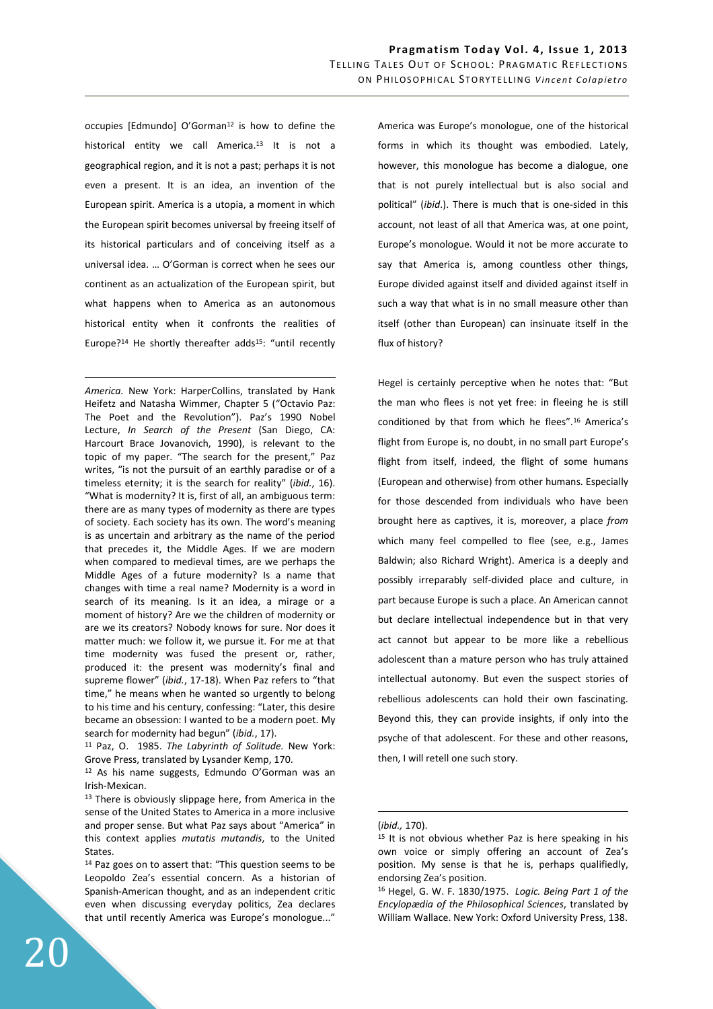occupies [Edmundo] O'Gorman<sup>12</sup> is how to define the historical entity we call America.<sup>13</sup> It is not a geographical region, and it is not a past; perhaps it is not even a present. It is an idea, an invention of the European spirit. America is a utopia, a moment in which the European spirit becomes universal by freeing itself of its historical particulars and of conceiving itself as a universal idea. … O'Gorman is correct when he sees our continent as an actualization of the European spirit, but what happens when to America as an autonomous historical entity when it confronts the realities of Europe?<sup>14</sup> He shortly thereafter adds<sup>15</sup>: "until recently

<u>.</u>

*America.* New York: HarperCollins, translated by Hank Heifetz and Natasha Wimmer, Chapter 5 ("Octavio Paz: The Poet and the Revolution"). Paz's 1990 Nobel Lecture, *In Search of the Present* (San Diego, CA: Harcourt Brace Jovanovich, 1990), is relevant to the topic of my paper. "The search for the present," Paz writes, "is not the pursuit of an earthly paradise or of a timeless eternity; it is the search for reality" (*ibid.*, 16). "What is modernity? It is, first of all, an ambiguous term: there are as many types of modernity as there are types of society. Each society has its own. The word's meaning is as uncertain and arbitrary as the name of the period that precedes it, the Middle Ages. If we are modern when compared to medieval times, are we perhaps the Middle Ages of a future modernity? Is a name that changes with time a real name? Modernity is a word in search of its meaning. Is it an idea, a mirage or a moment of history? Are we the children of modernity or are we its creators? Nobody knows for sure. Nor does it matter much: we follow it, we pursue it. For me at that time modernity was fused the present or, rather, produced it: the present was modernity's final and supreme flower" (*ibid.*, 17-18). When Paz refers to "that time," he means when he wanted so urgently to belong to his time and his century, confessing: "Later, this desire became an obsession: I wanted to be a modern poet. My search for modernity had begun" (*ibid.*, 17).

<sup>11</sup> Paz, O. 1985. *The Labyrinth of Solitude.* New York: Grove Press, translated by Lysander Kemp, 170.

<sup>12</sup> As his name suggests, Edmundo O'Gorman was an Irish-Mexican.

20

America was Europe's monologue, one of the historical forms in which its thought was embodied. Lately, however, this monologue has become a dialogue, one that is not purely intellectual but is also social and political" (*ibid*.). There is much that is one-sided in this account, not least of all that America was, at one point, Europe's monologue. Would it not be more accurate to say that America is, among countless other things, Europe divided against itself and divided against itself in such a way that what is in no small measure other than itself (other than European) can insinuate itself in the flux of history?

Hegel is certainly perceptive when he notes that: "But the man who flees is not yet free: in fleeing he is still conditioned by that from which he flees".<sup>16</sup> America's flight from Europe is, no doubt, in no small part Europe's flight from itself, indeed, the flight of some humans (European and otherwise) from other humans. Especially for those descended from individuals who have been brought here as captives, it is, moreover, a place *from* which many feel compelled to flee (see, e.g., James Baldwin; also Richard Wright). America is a deeply and possibly irreparably self-divided place and culture, in part because Europe is such a place. An American cannot but declare intellectual independence but in that very act cannot but appear to be more like a rebellious adolescent than a mature person who has truly attained intellectual autonomy. But even the suspect stories of rebellious adolescents can hold their own fascinating. Beyond this, they can provide insights, if only into the psyche of that adolescent. For these and other reasons, then, I will retell one such story.

<sup>13</sup> There is obviously slippage here, from America in the sense of the United States to America in a more inclusive and proper sense. But what Paz says about "America" in this context applies *mutatis mutandis*, to the United States.

<sup>14</sup> Paz goes on to assert that: "This question seems to be Leopoldo Zea's essential concern. As a historian of Spanish-American thought, and as an independent critic even when discussing everyday politics, Zea declares that until recently America was Europe's monologue..."

<sup>(</sup>*ibid.,* 170).

<sup>&</sup>lt;sup>15</sup> It is not obvious whether Paz is here speaking in his own voice or simply offering an account of Zea's position. My sense is that he is, perhaps qualifiedly, endorsing Zea's position.

<sup>16</sup> Hegel, G. W. F. 1830/1975. *Logic. Being Part 1 of the Encylopædia of the Philosophical Sciences*, translated by William Wallace. New York: Oxford University Press, 138.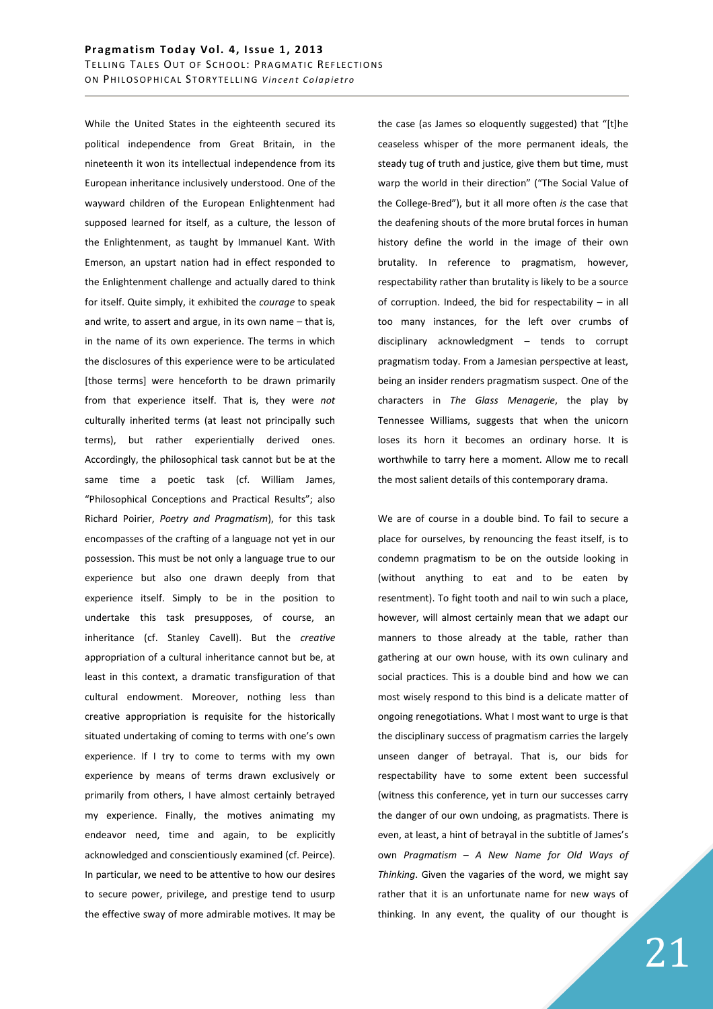While the United States in the eighteenth secured its political independence from Great Britain, in the nineteenth it won its intellectual independence from its European inheritance inclusively understood. One of the wayward children of the European Enlightenment had supposed learned for itself, as a culture, the lesson of the Enlightenment, as taught by Immanuel Kant. With Emerson, an upstart nation had in effect responded to the Enlightenment challenge and actually dared to think for itself. Quite simply, it exhibited the *courage* to speak and write, to assert and argue, in its own name – that is, in the name of its own experience. The terms in which the disclosures of this experience were to be articulated [those terms] were henceforth to be drawn primarily from that experience itself. That is, they were *not* culturally inherited terms (at least not principally such terms), but rather experientially derived ones. Accordingly, the philosophical task cannot but be at the same time a poetic task (cf. William James, "Philosophical Conceptions and Practical Results"; also Richard Poirier, *Poetry and Pragmatism*), for this task encompasses of the crafting of a language not yet in our possession. This must be not only a language true to our experience but also one drawn deeply from that experience itself. Simply to be in the position to undertake this task presupposes, of course, an inheritance (cf. Stanley Cavell). But the *creative* appropriation of a cultural inheritance cannot but be, at least in this context, a dramatic transfiguration of that cultural endowment. Moreover, nothing less than creative appropriation is requisite for the historically situated undertaking of coming to terms with one's own experience. If I try to come to terms with my own experience by means of terms drawn exclusively or primarily from others, I have almost certainly betrayed my experience. Finally, the motives animating my endeavor need, time and again, to be explicitly acknowledged and conscientiously examined (cf. Peirce). In particular, we need to be attentive to how our desires to secure power, privilege, and prestige tend to usurp the effective sway of more admirable motives. It may be

the case (as James so eloquently suggested) that "[t]he ceaseless whisper of the more permanent ideals, the steady tug of truth and justice, give them but time, must warp the world in their direction" ("The Social Value of the College-Bred"), but it all more often *is* the case that the deafening shouts of the more brutal forces in human history define the world in the image of their own brutality. In reference to pragmatism, however, respectability rather than brutality is likely to be a source of corruption. Indeed, the bid for respectability – in all too many instances, for the left over crumbs of disciplinary acknowledgment – tends to corrupt pragmatism today. From a Jamesian perspective at least, being an insider renders pragmatism suspect. One of the characters in *The Glass Menagerie*, the play by Tennessee Williams, suggests that when the unicorn loses its horn it becomes an ordinary horse. It is worthwhile to tarry here a moment. Allow me to recall the most salient details of this contemporary drama.

We are of course in a double bind. To fail to secure a place for ourselves, by renouncing the feast itself, is to condemn pragmatism to be on the outside looking in (without anything to eat and to be eaten by resentment). To fight tooth and nail to win such a place, however, will almost certainly mean that we adapt our manners to those already at the table, rather than gathering at our own house, with its own culinary and social practices. This is a double bind and how we can most wisely respond to this bind is a delicate matter of ongoing renegotiations. What I most want to urge is that the disciplinary success of pragmatism carries the largely unseen danger of betrayal. That is, our bids for respectability have to some extent been successful (witness this conference, yet in turn our successes carry the danger of our own undoing, as pragmatists. There is even, at least, a hint of betrayal in the subtitle of James's own *Pragmatism* – *A New Name for Old Ways of Thinking*. Given the vagaries of the word, we might say rather that it is an unfortunate name for new ways of thinking. In any event, the quality of our thought is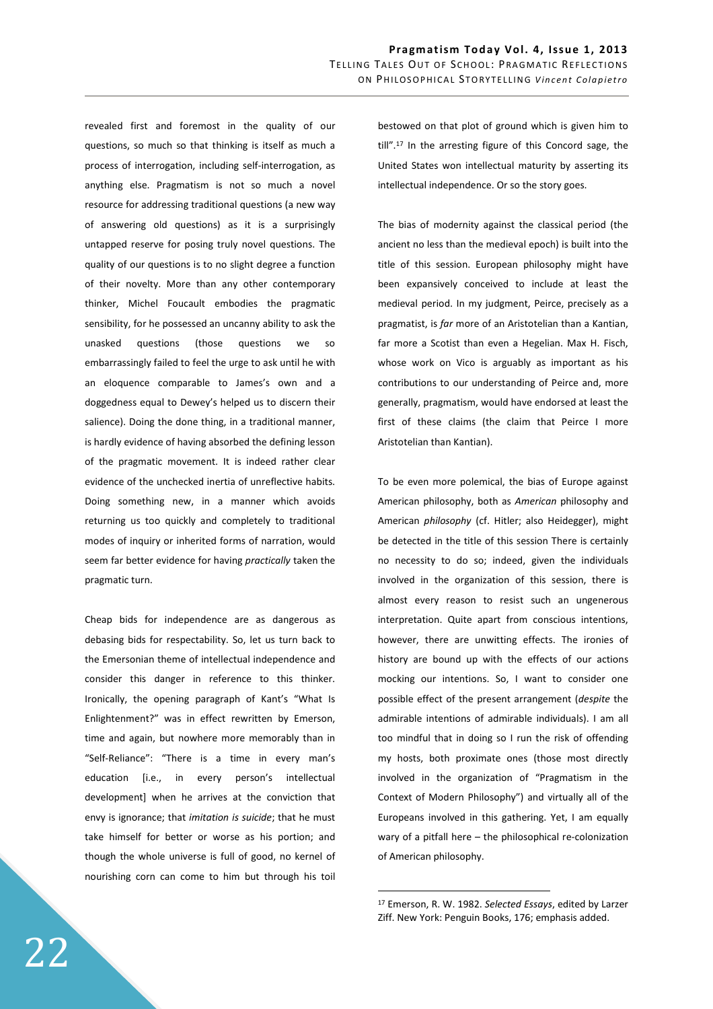revealed first and foremost in the quality of our questions, so much so that thinking is itself as much a process of interrogation, including self-interrogation, as anything else. Pragmatism is not so much a novel resource for addressing traditional questions (a new way of answering old questions) as it is a surprisingly untapped reserve for posing truly novel questions. The quality of our questions is to no slight degree a function of their novelty. More than any other contemporary thinker, Michel Foucault embodies the pragmatic sensibility, for he possessed an uncanny ability to ask the unasked questions (those questions we so embarrassingly failed to feel the urge to ask until he with an eloquence comparable to James's own and a doggedness equal to Dewey's helped us to discern their salience). Doing the done thing, in a traditional manner, is hardly evidence of having absorbed the defining lesson of the pragmatic movement. It is indeed rather clear evidence of the unchecked inertia of unreflective habits. Doing something new, in a manner which avoids returning us too quickly and completely to traditional modes of inquiry or inherited forms of narration, would seem far better evidence for having *practically* taken the pragmatic turn.

Cheap bids for independence are as dangerous as debasing bids for respectability. So, let us turn back to the Emersonian theme of intellectual independence and consider this danger in reference to this thinker. Ironically, the opening paragraph of Kant's "What Is Enlightenment?" was in effect rewritten by Emerson, time and again, but nowhere more memorably than in "Self-Reliance": "There is a time in every man's education [i.e., in every person's intellectual development] when he arrives at the conviction that envy is ignorance; that *imitation is suicide*; that he must take himself for better or worse as his portion; and though the whole universe is full of good, no kernel of nourishing corn can come to him but through his toil bestowed on that plot of ground which is given him to till".<sup>17</sup> In the arresting figure of this Concord sage, the United States won intellectual maturity by asserting its intellectual independence. Or so the story goes.

The bias of modernity against the classical period (the ancient no less than the medieval epoch) is built into the title of this session. European philosophy might have been expansively conceived to include at least the medieval period. In my judgment, Peirce, precisely as a pragmatist, is *far* more of an Aristotelian than a Kantian, far more a Scotist than even a Hegelian. Max H. Fisch, whose work on Vico is arguably as important as his contributions to our understanding of Peirce and, more generally, pragmatism, would have endorsed at least the first of these claims (the claim that Peirce I more Aristotelian than Kantian).

To be even more polemical, the bias of Europe against American philosophy, both as *American* philosophy and American *philosophy* (cf. Hitler; also Heidegger), might be detected in the title of this session There is certainly no necessity to do so; indeed, given the individuals involved in the organization of this session, there is almost every reason to resist such an ungenerous interpretation. Quite apart from conscious intentions, however, there are unwitting effects. The ironies of history are bound up with the effects of our actions mocking our intentions. So, I want to consider one possible effect of the present arrangement (*despite* the admirable intentions of admirable individuals). I am all too mindful that in doing so I run the risk of offending my hosts, both proximate ones (those most directly involved in the organization of "Pragmatism in the Context of Modern Philosophy") and virtually all of the Europeans involved in this gathering. Yet, I am equally wary of a pitfall here – the philosophical re-colonization of American philosophy.

<sup>17</sup> Emerson, R. W. 1982. *Selected Essays*, edited by Larzer Ziff. New York: Penguin Books, 176; emphasis added.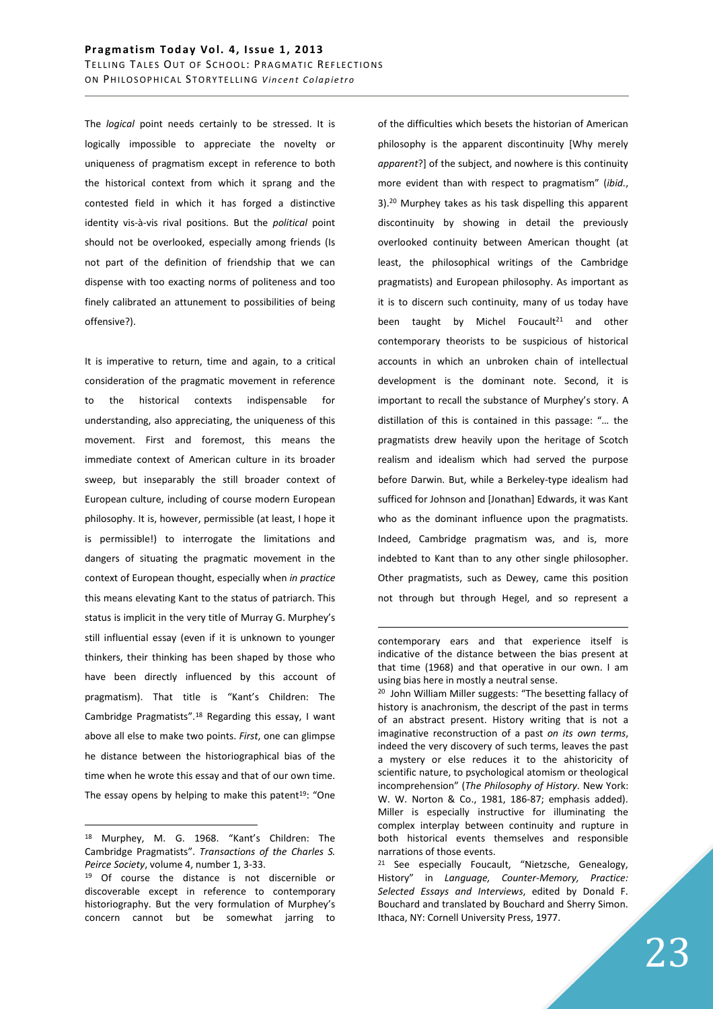The *logical* point needs certainly to be stressed. It is logically impossible to appreciate the novelty or uniqueness of pragmatism except in reference to both the historical context from which it sprang and the contested field in which it has forged a distinctive identity vis-à-vis rival positions. But the *political* point should not be overlooked, especially among friends (Is not part of the definition of friendship that we can dispense with too exacting norms of politeness and too finely calibrated an attunement to possibilities of being offensive?).

It is imperative to return, time and again, to a critical consideration of the pragmatic movement in reference to the historical contexts indispensable for understanding, also appreciating, the uniqueness of this movement. First and foremost, this means the immediate context of American culture in its broader sweep, but inseparably the still broader context of European culture, including of course modern European philosophy. It is, however, permissible (at least, I hope it is permissible!) to interrogate the limitations and dangers of situating the pragmatic movement in the context of European thought, especially when *in practice* this means elevating Kant to the status of patriarch. This status is implicit in the very title of Murray G. Murphey's still influential essay (even if it is unknown to younger thinkers, their thinking has been shaped by those who have been directly influenced by this account of pragmatism). That title is "Kant's Children: The Cambridge Pragmatists".<sup>18</sup> Regarding this essay, I want above all else to make two points. *First*, one can glimpse he distance between the historiographical bias of the time when he wrote this essay and that of our own time. The essay opens by helping to make this patent<sup>19</sup>: "One

 $\overline{a}$ 

of the difficulties which besets the historian of American philosophy is the apparent discontinuity [Why merely *apparent*?] of the subject, and nowhere is this continuity more evident than with respect to pragmatism" (*ibid.*, 3).<sup>20</sup> Murphey takes as his task dispelling this apparent discontinuity by showing in detail the previously overlooked continuity between American thought (at least, the philosophical writings of the Cambridge pragmatists) and European philosophy. As important as it is to discern such continuity, many of us today have been taught by Michel Foucault<sup>21</sup> and other contemporary theorists to be suspicious of historical accounts in which an unbroken chain of intellectual development is the dominant note. Second, it is important to recall the substance of Murphey's story. A distillation of this is contained in this passage: "… the pragmatists drew heavily upon the heritage of Scotch realism and idealism which had served the purpose before Darwin. But, while a Berkeley-type idealism had sufficed for Johnson and [Jonathan] Edwards, it was Kant who as the dominant influence upon the pragmatists. Indeed, Cambridge pragmatism was, and is, more indebted to Kant than to any other single philosopher. Other pragmatists, such as Dewey, came this position not through but through Hegel, and so represent a

<sup>18</sup> Murphey, M. G. 1968. "Kant's Children: The Cambridge Pragmatists". *Transactions of the Charles S. Peirce Society*, volume 4, number 1, 3-33.

<sup>&</sup>lt;sup>19</sup> Of course the distance is not discernible or discoverable except in reference to contemporary historiography. But the very formulation of Murphey's concern cannot but be somewhat jarring to

contemporary ears and that experience itself is indicative of the distance between the bias present at that time (1968) and that operative in our own. I am using bias here in mostly a neutral sense.

<sup>20</sup> John William Miller suggests: "The besetting fallacy of history is anachronism, the descript of the past in terms of an abstract present. History writing that is not a imaginative reconstruction of a past *on its own terms*, indeed the very discovery of such terms, leaves the past a mystery or else reduces it to the ahistoricity of scientific nature, to psychological atomism or theological incomprehension" (*The Philosophy of History.* New York: W. W. Norton & Co., 1981, 186-87; emphasis added). Miller is especially instructive for illuminating the complex interplay between continuity and rupture in both historical events themselves and responsible narrations of those events.

<sup>&</sup>lt;sup>21</sup> See especially Foucault, "Nietzsche, Genealogy, History" in *Language, Counter-Memory, Practice: Selected Essays and Interviews*, edited by Donald F. Bouchard and translated by Bouchard and Sherry Simon. Ithaca, NY: Cornell University Press, 1977.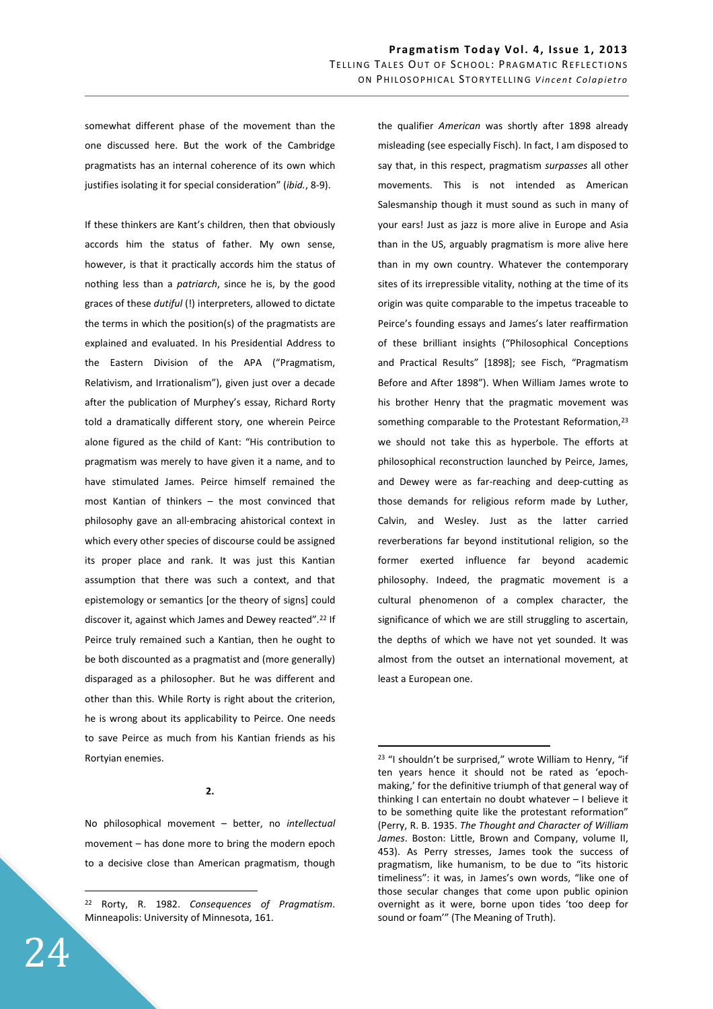somewhat different phase of the movement than the one discussed here. But the work of the Cambridge pragmatists has an internal coherence of its own which justifies isolating it for special consideration" (*ibid.*, 8-9).

If these thinkers are Kant's children, then that obviously accords him the status of father. My own sense, however, is that it practically accords him the status of nothing less than a *patriarch*, since he is, by the good graces of these *dutiful* (!) interpreters, allowed to dictate the terms in which the position(s) of the pragmatists are explained and evaluated. In his Presidential Address to the Eastern Division of the APA ("Pragmatism, Relativism, and Irrationalism"), given just over a decade after the publication of Murphey's essay, Richard Rorty told a dramatically different story, one wherein Peirce alone figured as the child of Kant: "His contribution to pragmatism was merely to have given it a name, and to have stimulated James. Peirce himself remained the most Kantian of thinkers – the most convinced that philosophy gave an all-embracing ahistorical context in which every other species of discourse could be assigned its proper place and rank. It was just this Kantian assumption that there was such a context, and that epistemology or semantics [or the theory of signs] could discover it, against which James and Dewey reacted". <sup>22</sup> If Peirce truly remained such a Kantian, then he ought to be both discounted as a pragmatist and (more generally) disparaged as a philosopher. But he was different and other than this. While Rorty is right about the criterion, he is wrong about its applicability to Peirce. One needs to save Peirce as much from his Kantian friends as his Rortyian enemies.

## **2.**

No philosophical movement – better, no *intellectual* movement – has done more to bring the modern epoch to a decisive close than American pragmatism, though the qualifier *American* was shortly after 1898 already misleading (see especially Fisch). In fact, I am disposed to say that, in this respect, pragmatism *surpasses* all other movements. This is not intended as American Salesmanship though it must sound as such in many of your ears! Just as jazz is more alive in Europe and Asia than in the US, arguably pragmatism is more alive here than in my own country. Whatever the contemporary sites of its irrepressible vitality, nothing at the time of its origin was quite comparable to the impetus traceable to Peirce's founding essays and James's later reaffirmation of these brilliant insights ("Philosophical Conceptions and Practical Results" [1898]; see Fisch, "Pragmatism Before and After 1898"). When William James wrote to his brother Henry that the pragmatic movement was something comparable to the Protestant Reformation, $^{23}$ we should not take this as hyperbole. The efforts at philosophical reconstruction launched by Peirce, James, and Dewey were as far-reaching and deep-cutting as those demands for religious reform made by Luther, Calvin, and Wesley. Just as the latter carried reverberations far beyond institutional religion, so the former exerted influence far beyond academic philosophy. Indeed, the pragmatic movement is a cultural phenomenon of a complex character, the significance of which we are still struggling to ascertain, the depths of which we have not yet sounded. It was almost from the outset an international movement, at least a European one.

 $\overline{a}$ 

<sup>22</sup> Rorty, R. 1982. *Consequences of Pragmatism*. Minneapolis: University of Minnesota, 161.

<sup>&</sup>lt;sup>23</sup> "I shouldn't be surprised," wrote William to Henry, "if ten years hence it should not be rated as 'epochmaking,' for the definitive triumph of that general way of thinking I can entertain no doubt whatever – I believe it to be something quite like the protestant reformation" (Perry, R. B. 1935. *The Thought and Character of William James*. Boston: Little, Brown and Company, volume II, 453). As Perry stresses, James took the success of pragmatism, like humanism, to be due to "its historic timeliness": it was, in James's own words, "like one of those secular changes that come upon public opinion overnight as it were, borne upon tides 'too deep for sound or foam'" (The Meaning of Truth).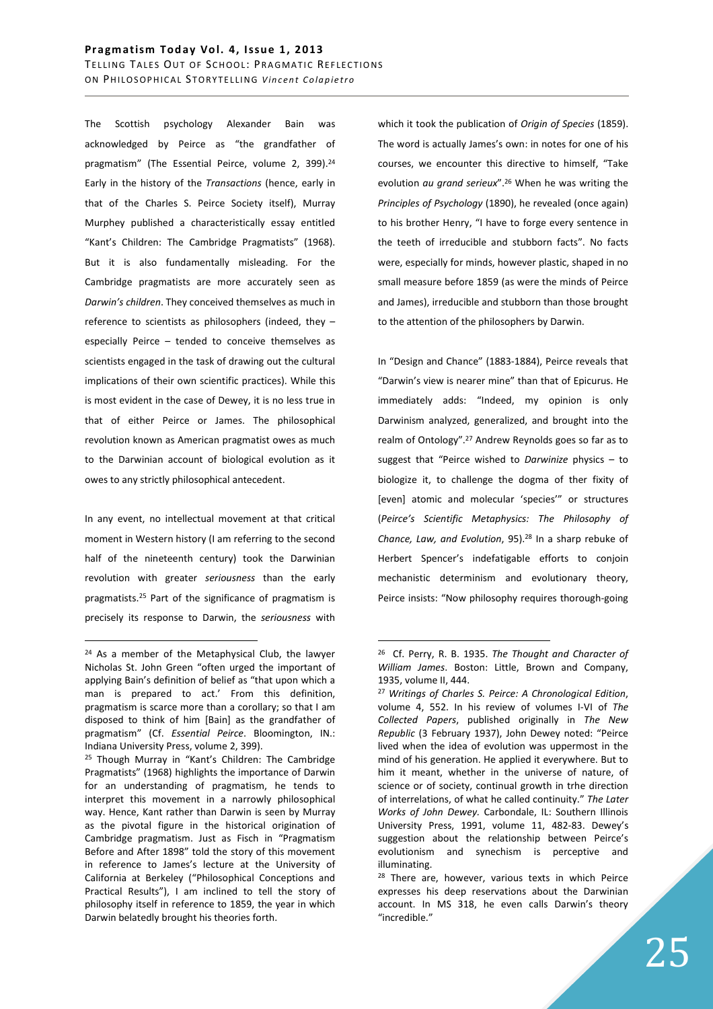The Scottish psychology Alexander Bain was acknowledged by Peirce as "the grandfather of pragmatism" (The Essential Peirce, volume 2, 399).<sup>24</sup> Early in the history of the *Transactions* (hence, early in that of the Charles S. Peirce Society itself), Murray Murphey published a characteristically essay entitled "Kant's Children: The Cambridge Pragmatists" (1968). But it is also fundamentally misleading. For the Cambridge pragmatists are more accurately seen as *Darwin's children*. They conceived themselves as much in reference to scientists as philosophers (indeed, they – especially Peirce – tended to conceive themselves as scientists engaged in the task of drawing out the cultural implications of their own scientific practices). While this is most evident in the case of Dewey, it is no less true in that of either Peirce or James. The philosophical revolution known as American pragmatist owes as much to the Darwinian account of biological evolution as it owes to any strictly philosophical antecedent.

In any event, no intellectual movement at that critical moment in Western history (I am referring to the second half of the nineteenth century) took the Darwinian revolution with greater *seriousness* than the early pragmatists.<sup>25</sup> Part of the significance of pragmatism is precisely its response to Darwin, the *seriousness* with

 $\overline{a}$ 

which it took the publication of *Origin of Species* (1859). The word is actually James's own: in notes for one of his courses, we encounter this directive to himself, "Take evolution *au grand serieux*".<sup>26</sup> When he was writing the *Principles of Psychology* (1890), he revealed (once again) to his brother Henry, "I have to forge every sentence in the teeth of irreducible and stubborn facts". No facts were, especially for minds, however plastic, shaped in no small measure before 1859 (as were the minds of Peirce and James), irreducible and stubborn than those brought to the attention of the philosophers by Darwin.

In "Design and Chance" (1883-1884), Peirce reveals that "Darwin's view is nearer mine" than that of Epicurus. He immediately adds: "Indeed, my opinion is only Darwinism analyzed, generalized, and brought into the realm of Ontology".<sup>27</sup> Andrew Reynolds goes so far as to suggest that "Peirce wished to *Darwinize* physics – to biologize it, to challenge the dogma of ther fixity of [even] atomic and molecular 'species'" or structures (*Peirce's Scientific Metaphysics: The Philosophy of Chance, Law, and Evolution*, 95).<sup>28</sup> In a sharp rebuke of Herbert Spencer's indefatigable efforts to conjoin mechanistic determinism and evolutionary theory, Peirce insists: "Now philosophy requires thorough-going

<sup>&</sup>lt;sup>24</sup> As a member of the Metaphysical Club, the lawyer Nicholas St. John Green "often urged the important of applying Bain's definition of belief as "that upon which a man is prepared to act.' From this definition, pragmatism is scarce more than a corollary; so that I am disposed to think of him [Bain] as the grandfather of pragmatism" (Cf. *Essential Peirce*. Bloomington, IN.: Indiana University Press, volume 2, 399).

<sup>25</sup> Though Murray in "Kant's Children: The Cambridge Pragmatists" (1968) highlights the importance of Darwin for an understanding of pragmatism, he tends to interpret this movement in a narrowly philosophical way. Hence, Kant rather than Darwin is seen by Murray as the pivotal figure in the historical origination of Cambridge pragmatism. Just as Fisch in "Pragmatism Before and After 1898" told the story of this movement in reference to James's lecture at the University of California at Berkeley ("Philosophical Conceptions and Practical Results"), I am inclined to tell the story of philosophy itself in reference to 1859, the year in which Darwin belatedly brought his theories forth.

<sup>26</sup> Cf. Perry, R. B. 1935. *The Thought and Character of William James*. Boston: Little, Brown and Company, 1935, volume II, 444.

<sup>27</sup> *Writings of Charles S. Peirce: A Chronological Edition*, volume 4, 552. In his review of volumes I-VI of *The Collected Papers*, published originally in *The New Republic* (3 February 1937), John Dewey noted: "Peirce lived when the idea of evolution was uppermost in the mind of his generation. He applied it everywhere. But to him it meant, whether in the universe of nature, of science or of society, continual growth in trhe direction of interrelations, of what he called continuity." *The Later Works of John Dewey.* Carbondale, IL: Southern Illinois University Press, 1991, volume 11, 482-83. Dewey's suggestion about the relationship between Peirce's evolutionism and synechism is perceptive and illuminating.

<sup>&</sup>lt;sup>28</sup> There are, however, various texts in which Peirce expresses his deep reservations about the Darwinian account. In MS 318, he even calls Darwin's theory "incredible."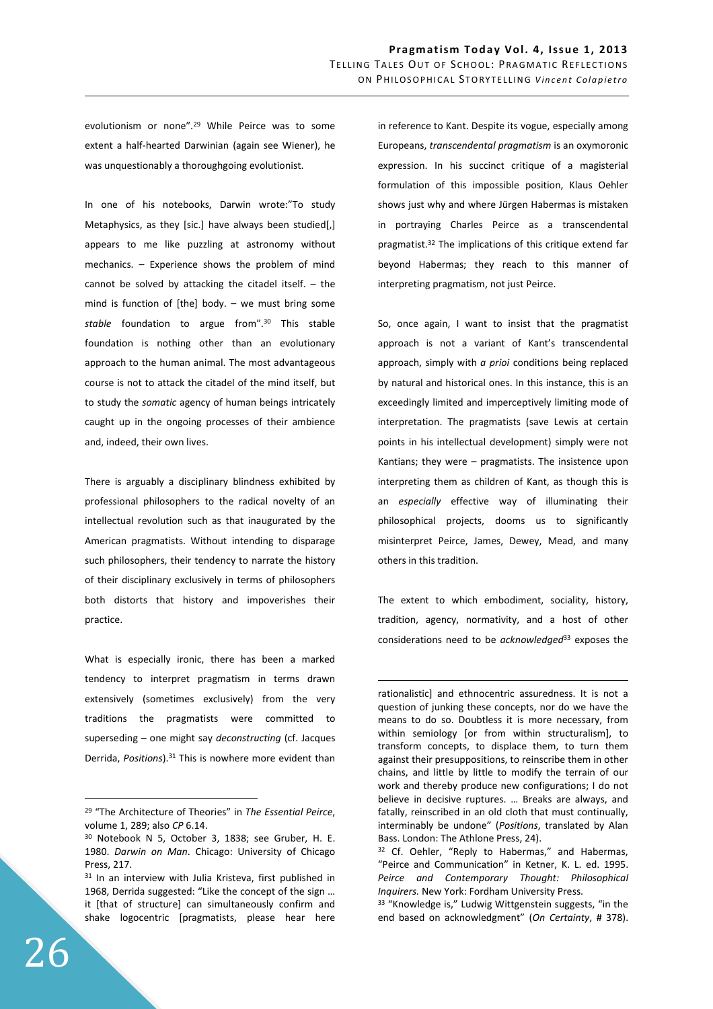evolutionism or none".<sup>29</sup> While Peirce was to some extent a half-hearted Darwinian (again see Wiener), he was unquestionably a thoroughgoing evolutionist.

In one of his notebooks, Darwin wrote:"To study Metaphysics, as they [sic.] have always been studied[,] appears to me like puzzling at astronomy without mechanics. – Experience shows the problem of mind cannot be solved by attacking the citadel itself. – the mind is function of [the] body. – we must bring some *stable* foundation to argue from".<sup>30</sup> This stable foundation is nothing other than an evolutionary approach to the human animal. The most advantageous course is not to attack the citadel of the mind itself, but to study the *somatic* agency of human beings intricately caught up in the ongoing processes of their ambience and, indeed, their own lives.

There is arguably a disciplinary blindness exhibited by professional philosophers to the radical novelty of an intellectual revolution such as that inaugurated by the American pragmatists. Without intending to disparage such philosophers, their tendency to narrate the history of their disciplinary exclusively in terms of philosophers both distorts that history and impoverishes their practice.

What is especially ironic, there has been a marked tendency to interpret pragmatism in terms drawn extensively (sometimes exclusively) from the very traditions the pragmatists were committed to superseding – one might say *deconstructing* (cf. Jacques Derrida, *Positions*).<sup>31</sup> This is nowhere more evident than in reference to Kant. Despite its vogue, especially among Europeans, *transcendental pragmatism* is an oxymoronic expression. In his succinct critique of a magisterial formulation of this impossible position, Klaus Oehler shows just why and where Jürgen Habermas is mistaken in portraying Charles Peirce as a transcendental pragmatist.<sup>32</sup> The implications of this critique extend far beyond Habermas; they reach to this manner of interpreting pragmatism, not just Peirce.

So, once again, I want to insist that the pragmatist approach is not a variant of Kant's transcendental approach, simply with *a prioi* conditions being replaced by natural and historical ones. In this instance, this is an exceedingly limited and imperceptively limiting mode of interpretation. The pragmatists (save Lewis at certain points in his intellectual development) simply were not Kantians; they were – pragmatists. The insistence upon interpreting them as children of Kant, as though this is an *especially* effective way of illuminating their philosophical projects, dooms us to significantly misinterpret Peirce, James, Dewey, Mead, and many others in this tradition.

The extent to which embodiment, sociality, history, tradition, agency, normativity, and a host of other considerations need to be *acknowledged*<sup>33</sup> exposes the

 $\overline{a}$ 

<sup>29</sup> "The Architecture of Theories" in *The Essential Peirce*, volume 1, 289; also *CP* 6.14.

<sup>30</sup> Notebook N 5, October 3, 1838; see Gruber, H. E. 1980. *Darwin on Man*. Chicago: University of Chicago Press, 217.

<sup>&</sup>lt;sup>31</sup> In an interview with Julia Kristeva, first published in 1968, Derrida suggested: "Like the concept of the sign … it [that of structure] can simultaneously confirm and shake logocentric [pragmatists, please hear here

rationalistic] and ethnocentric assuredness. It is not a question of junking these concepts, nor do we have the means to do so. Doubtless it is more necessary, from within semiology [or from within structuralism], to transform concepts, to displace them, to turn them against their presuppositions, to reinscribe them in other chains, and little by little to modify the terrain of our work and thereby produce new configurations; I do not believe in decisive ruptures. … Breaks are always, and fatally, reinscribed in an old cloth that must continually, interminably be undone" (*Positions*, translated by Alan Bass. London: The Athlone Press, 24).

<sup>&</sup>lt;sup>32</sup> Cf. Oehler, "Reply to Habermas," and Habermas, "Peirce and Communication" in Ketner, K. L. ed. 1995. *Peirce and Contemporary Thought: Philosophical Inquirers.* New York: Fordham University Press.

<sup>&</sup>lt;sup>33</sup> "Knowledge is," Ludwig Wittgenstein suggests, "in the end based on acknowledgment" (*On Certainty*, # 378).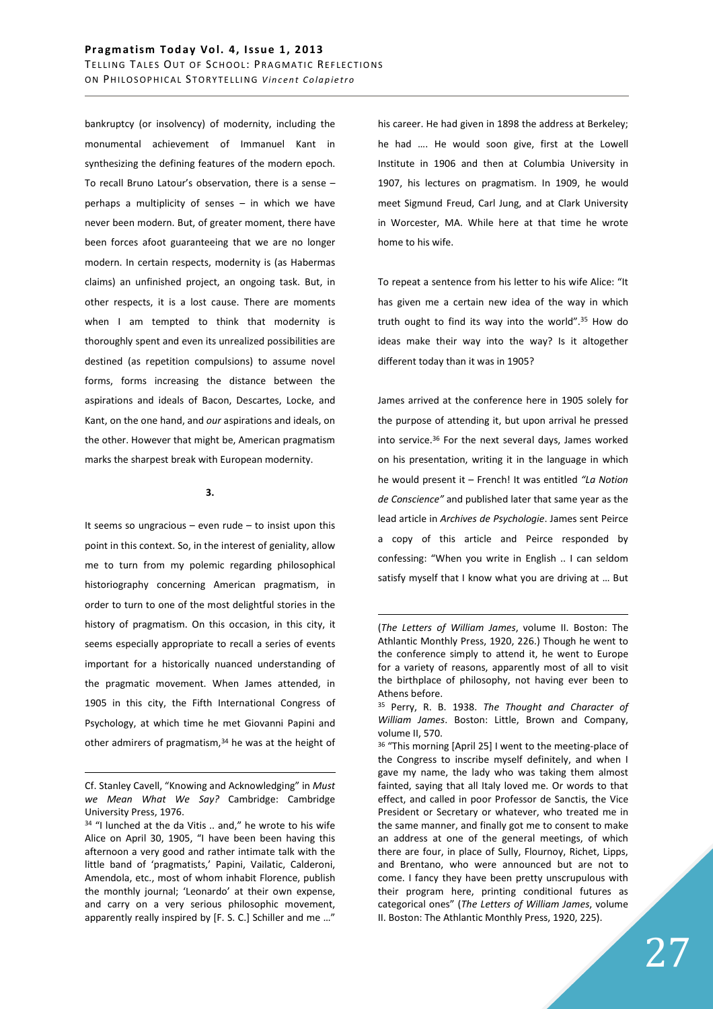bankruptcy (or insolvency) of modernity, including the monumental achievement of Immanuel Kant in synthesizing the defining features of the modern epoch. To recall Bruno Latour's observation, there is a sense – perhaps a multiplicity of senses – in which we have never been modern. But, of greater moment, there have been forces afoot guaranteeing that we are no longer modern. In certain respects, modernity is (as Habermas claims) an unfinished project, an ongoing task. But, in other respects, it is a lost cause. There are moments when I am tempted to think that modernity is thoroughly spent and even its unrealized possibilities are destined (as repetition compulsions) to assume novel forms, forms increasing the distance between the aspirations and ideals of Bacon, Descartes, Locke, and Kant, on the one hand, and *our* aspirations and ideals, on the other. However that might be, American pragmatism marks the sharpest break with European modernity.

## **3.**

It seems so ungracious  $-$  even rude  $-$  to insist upon this point in this context. So, in the interest of geniality, allow me to turn from my polemic regarding philosophical historiography concerning American pragmatism, in order to turn to one of the most delightful stories in the history of pragmatism. On this occasion, in this city, it seems especially appropriate to recall a series of events important for a historically nuanced understanding of the pragmatic movement. When James attended, in 1905 in this city, the Fifth International Congress of Psychology, at which time he met Giovanni Papini and other admirers of pragmatism,<sup>34</sup> he was at the height of

<u>.</u>

his career. He had given in 1898 the address at Berkeley; he had …. He would soon give, first at the Lowell Institute in 1906 and then at Columbia University in 1907, his lectures on pragmatism. In 1909, he would meet Sigmund Freud, Carl Jung, and at Clark University in Worcester, MA. While here at that time he wrote home to his wife.

To repeat a sentence from his letter to his wife Alice: "It has given me a certain new idea of the way in which truth ought to find its way into the world".<sup>35</sup> How do ideas make their way into the way? Is it altogether different today than it was in 1905?

James arrived at the conference here in 1905 solely for the purpose of attending it, but upon arrival he pressed into service.<sup>36</sup> For the next several days, James worked on his presentation, writing it in the language in which he would present it – French! It was entitled *"La Notion de Conscience"* and published later that same year as the lead article in *Archives de Psychologie*. James sent Peirce a copy of this article and Peirce responded by confessing: "When you write in English .. I can seldom satisfy myself that I know what you are driving at … But

Cf. Stanley Cavell, "Knowing and Acknowledging" in *Must we Mean What We Say?* Cambridge: Cambridge University Press, 1976.

<sup>34</sup> "I lunched at the da Vitis .. and," he wrote to his wife Alice on April 30, 1905, "I have been been having this afternoon a very good and rather intimate talk with the little band of 'pragmatists,' Papini, Vailatic, Calderoni, Amendola, etc., most of whom inhabit Florence, publish the monthly journal; 'Leonardo' at their own expense, and carry on a very serious philosophic movement, apparently really inspired by [F. S. C.] Schiller and me …"

<sup>(</sup>*The Letters of William James*, volume II. Boston: The Athlantic Monthly Press, 1920, 226.) Though he went to the conference simply to attend it, he went to Europe for a variety of reasons, apparently most of all to visit the birthplace of philosophy, not having ever been to Athens before.

<sup>35</sup> Perry, R. B. 1938. *The Thought and Character of William James*. Boston: Little, Brown and Company, volume II, 570.

<sup>36</sup> "This morning [April 25] I went to the meeting-place of the Congress to inscribe myself definitely, and when I gave my name, the lady who was taking them almost fainted, saying that all Italy loved me. Or words to that effect, and called in poor Professor de Sanctis, the Vice President or Secretary or whatever, who treated me in the same manner, and finally got me to consent to make an address at one of the general meetings, of which there are four, in place of Sully, Flournoy, Richet, Lipps, and Brentano, who were announced but are not to come. I fancy they have been pretty unscrupulous with their program here, printing conditional futures as categorical ones" (*The Letters of William James*, volume II. Boston: The Athlantic Monthly Press, 1920, 225).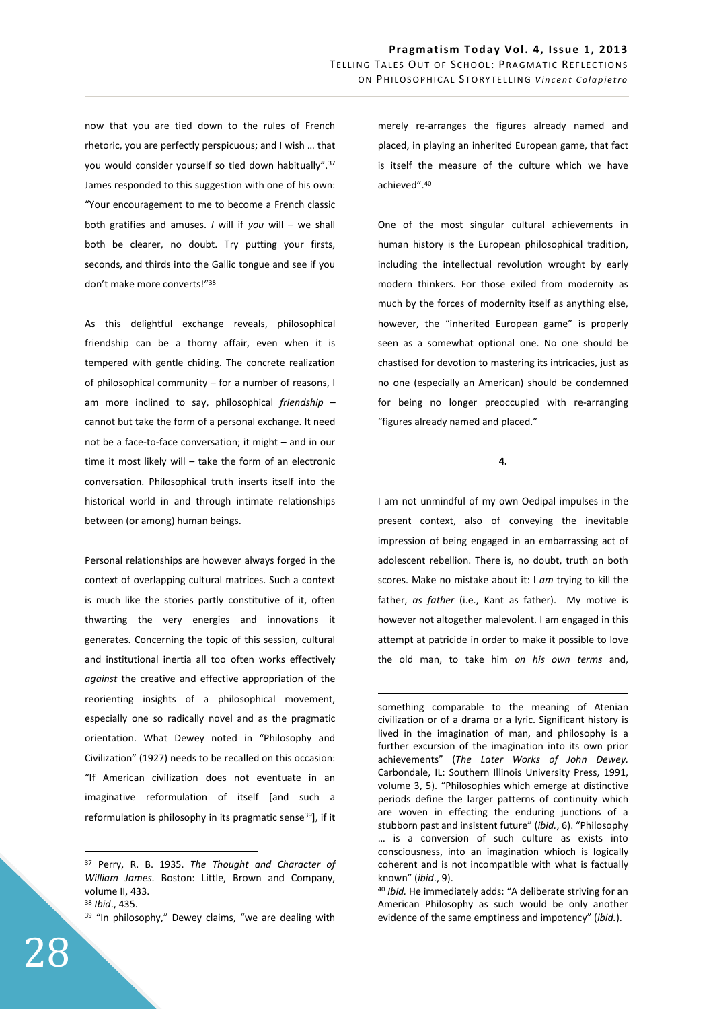now that you are tied down to the rules of French rhetoric, you are perfectly perspicuous; and I wish … that you would consider yourself so tied down habitually".<sup>37</sup> James responded to this suggestion with one of his own: "Your encouragement to me to become a French classic both gratifies and amuses. *I* will if *you* will – we shall both be clearer, no doubt. Try putting your firsts, seconds, and thirds into the Gallic tongue and see if you don't make more converts!"<sup>38</sup>

As this delightful exchange reveals, philosophical friendship can be a thorny affair, even when it is tempered with gentle chiding. The concrete realization of philosophical community – for a number of reasons, I am more inclined to say, philosophical *friendship* – cannot but take the form of a personal exchange. It need not be a face-to-face conversation; it might – and in our time it most likely will – take the form of an electronic conversation. Philosophical truth inserts itself into the historical world in and through intimate relationships between (or among) human beings.

Personal relationships are however always forged in the context of overlapping cultural matrices. Such a context is much like the stories partly constitutive of it, often thwarting the very energies and innovations it generates. Concerning the topic of this session, cultural and institutional inertia all too often works effectively *against* the creative and effective appropriation of the reorienting insights of a philosophical movement, especially one so radically novel and as the pragmatic orientation. What Dewey noted in "Philosophy and Civilization" (1927) needs to be recalled on this occasion: "If American civilization does not eventuate in an imaginative reformulation of itself [and such a reformulation is philosophy in its pragmatic sense<sup>39</sup>], if it merely re-arranges the figures already named and placed, in playing an inherited European game, that fact is itself the measure of the culture which we have achieved".<sup>40</sup>

One of the most singular cultural achievements in human history is the European philosophical tradition, including the intellectual revolution wrought by early modern thinkers. For those exiled from modernity as much by the forces of modernity itself as anything else, however, the "inherited European game" is properly seen as a somewhat optional one. No one should be chastised for devotion to mastering its intricacies, just as no one (especially an American) should be condemned for being no longer preoccupied with re-arranging "figures already named and placed."

**4.** 

I am not unmindful of my own Oedipal impulses in the present context, also of conveying the inevitable impression of being engaged in an embarrassing act of adolescent rebellion. There is, no doubt, truth on both scores. Make no mistake about it: I *am* trying to kill the father, *as father* (i.e., Kant as father). My motive is however not altogether malevolent. I am engaged in this attempt at patricide in order to make it possible to love the old man, to take him *on his own terms* and,

 $\overline{a}$ 

<sup>37</sup> Perry, R. B. 1935. *The Thought and Character of William James*. Boston: Little, Brown and Company, volume II, 433. <sup>38</sup> *Ibid*., 435.

<sup>&</sup>lt;sup>39</sup> "In philosophy," Dewey claims, "we are dealing with

something comparable to the meaning of Atenian civilization or of a drama or a lyric. Significant history is lived in the imagination of man, and philosophy is a further excursion of the imagination into its own prior achievements" (*The Later Works of John Dewey.*  Carbondale, IL: Southern Illinois University Press, 1991, volume 3, 5). "Philosophies which emerge at distinctive periods define the larger patterns of continuity which are woven in effecting the enduring junctions of a stubborn past and insistent future" (*ibid.*, 6). "Philosophy … is a conversion of such culture as exists into consciousness, into an imagination whioch is logically coherent and is not incompatible with what is factually known" (*ibid*., 9).

<sup>40</sup> *Ibid.* He immediately adds: "A deliberate striving for an American Philosophy as such would be only another evidence of the same emptiness and impotency" (*ibid.*).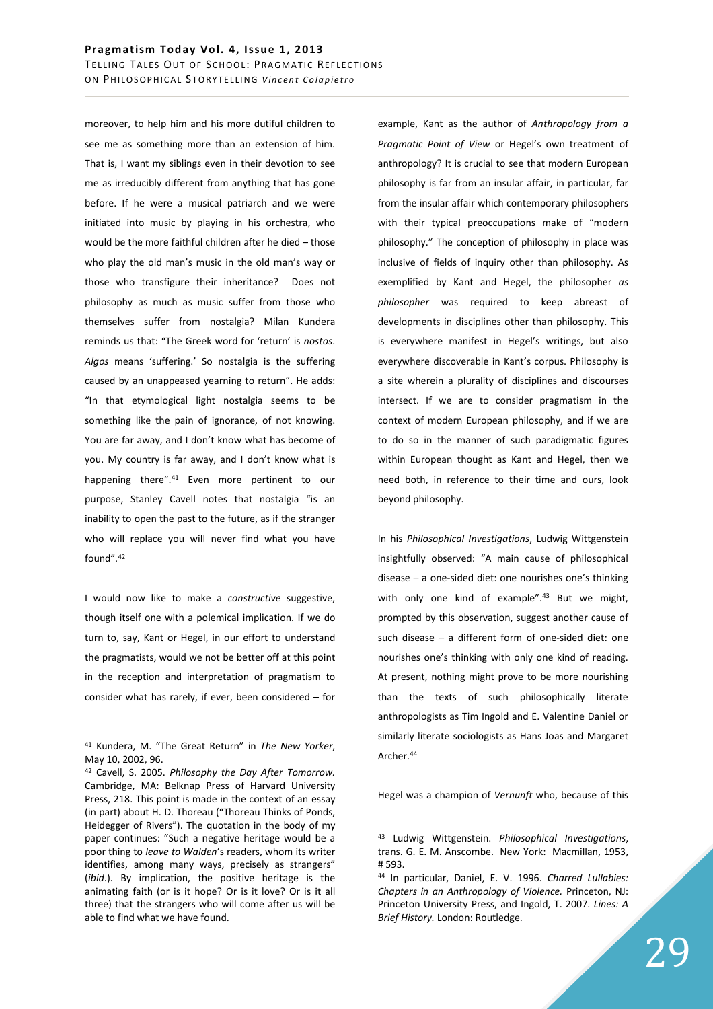moreover, to help him and his more dutiful children to see me as something more than an extension of him. That is, I want my siblings even in their devotion to see me as irreducibly different from anything that has gone before. If he were a musical patriarch and we were initiated into music by playing in his orchestra, who would be the more faithful children after he died – those who play the old man's music in the old man's way or those who transfigure their inheritance? Does not philosophy as much as music suffer from those who themselves suffer from nostalgia? Milan Kundera reminds us that: "The Greek word for 'return' is *nostos*. *Algos* means 'suffering.' So nostalgia is the suffering caused by an unappeased yearning to return". He adds: "In that etymological light nostalgia seems to be something like the pain of ignorance, of not knowing. You are far away, and I don't know what has become of you. My country is far away, and I don't know what is happening there".<sup>41</sup> Even more pertinent to our purpose, Stanley Cavell notes that nostalgia "is an inability to open the past to the future, as if the stranger who will replace you will never find what you have found".<sup>42</sup>

I would now like to make a *constructive* suggestive, though itself one with a polemical implication. If we do turn to, say, Kant or Hegel, in our effort to understand the pragmatists, would we not be better off at this point in the reception and interpretation of pragmatism to consider what has rarely, if ever, been considered – for

 $\overline{a}$ 

example, Kant as the author of *Anthropology from a Pragmatic Point of View* or Hegel's own treatment of anthropology? It is crucial to see that modern European philosophy is far from an insular affair, in particular, far from the insular affair which contemporary philosophers with their typical preoccupations make of "modern philosophy." The conception of philosophy in place was inclusive of fields of inquiry other than philosophy. As exemplified by Kant and Hegel, the philosopher *as philosopher* was required to keep abreast of developments in disciplines other than philosophy. This is everywhere manifest in Hegel's writings, but also everywhere discoverable in Kant's corpus. Philosophy is a site wherein a plurality of disciplines and discourses intersect. If we are to consider pragmatism in the context of modern European philosophy, and if we are to do so in the manner of such paradigmatic figures within European thought as Kant and Hegel, then we need both, in reference to their time and ours, look beyond philosophy.

In his *Philosophical Investigations*, Ludwig Wittgenstein insightfully observed: "A main cause of philosophical disease – a one-sided diet: one nourishes one's thinking with only one kind of example".<sup>43</sup> But we might, prompted by this observation, suggest another cause of such disease – a different form of one-sided diet: one nourishes one's thinking with only one kind of reading. At present, nothing might prove to be more nourishing than the texts of such philosophically literate anthropologists as Tim Ingold and E. Valentine Daniel or similarly literate sociologists as Hans Joas and Margaret Archer.<sup>44</sup>

Hegel was a champion of *Vernunft* who, because of this

<sup>41</sup> Kundera, M. "The Great Return" in *The New Yorker*, May 10, 2002, 96.

<sup>42</sup> Cavell, S. 2005. *Philosophy the Day After Tomorrow.*  Cambridge, MA: Belknap Press of Harvard University Press, 218. This point is made in the context of an essay (in part) about H. D. Thoreau ("Thoreau Thinks of Ponds, Heidegger of Rivers"). The quotation in the body of my paper continues: "Such a negative heritage would be a poor thing to *leave to Walden*'s readers, whom its writer identifies, among many ways, precisely as strangers" (*ibid*.). By implication, the positive heritage is the animating faith (or is it hope? Or is it love? Or is it all three) that the strangers who will come after us will be able to find what we have found.

<sup>43</sup> Ludwig Wittgenstein. *Philosophical Investigations*, trans. G. E. M. Anscombe. New York: Macmillan, 1953, # 593.

<sup>44</sup> In particular, Daniel, E. V. 1996. *Charred Lullabies: Chapters in an Anthropology of Violence.* Princeton, NJ: Princeton University Press, and Ingold, T. 2007. *Lines: A Brief History.* London: Routledge.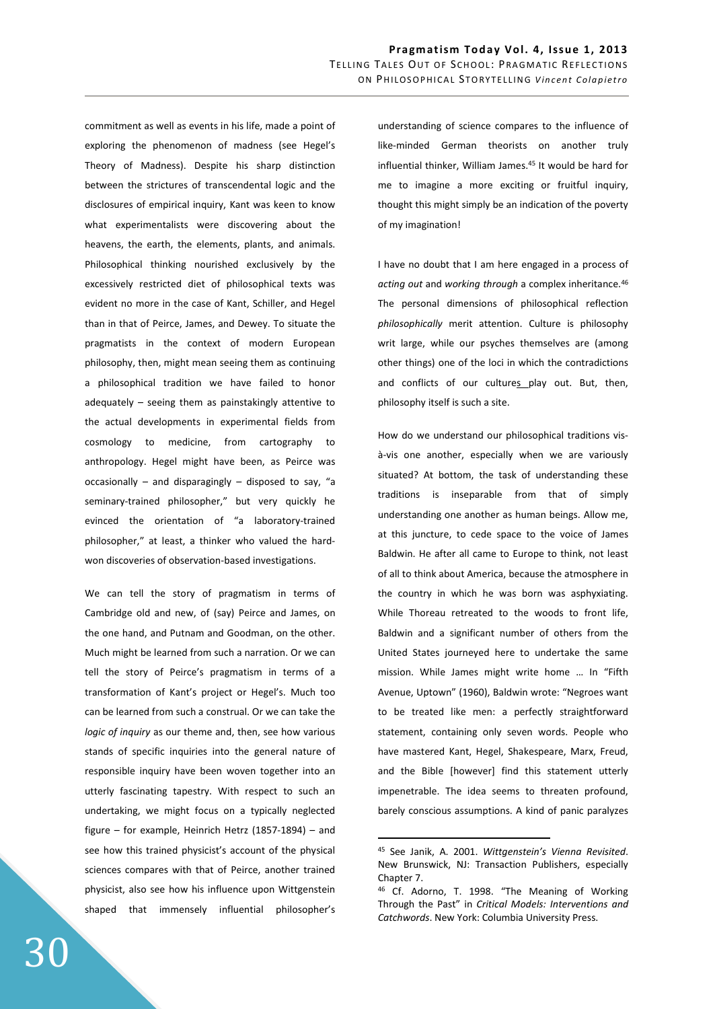commitment as well as events in his life, made a point of exploring the phenomenon of madness (see Hegel's Theory of Madness). Despite his sharp distinction between the strictures of transcendental logic and the disclosures of empirical inquiry, Kant was keen to know what experimentalists were discovering about the heavens, the earth, the elements, plants, and animals. Philosophical thinking nourished exclusively by the excessively restricted diet of philosophical texts was evident no more in the case of Kant, Schiller, and Hegel than in that of Peirce, James, and Dewey. To situate the pragmatists in the context of modern European philosophy, then, might mean seeing them as continuing a philosophical tradition we have failed to honor adequately – seeing them as painstakingly attentive to the actual developments in experimental fields from cosmology to medicine, from cartography to anthropology. Hegel might have been, as Peirce was occasionally – and disparagingly – disposed to say, "a seminary-trained philosopher," but very quickly he evinced the orientation of "a laboratory-trained philosopher," at least, a thinker who valued the hardwon discoveries of observation-based investigations.

We can tell the story of pragmatism in terms of Cambridge old and new, of (say) Peirce and James, on the one hand, and Putnam and Goodman, on the other. Much might be learned from such a narration. Or we can tell the story of Peirce's pragmatism in terms of a transformation of Kant's project or Hegel's. Much too can be learned from such a construal. Or we can take the *logic of inquiry* as our theme and, then, see how various stands of specific inquiries into the general nature of responsible inquiry have been woven together into an utterly fascinating tapestry. With respect to such an undertaking, we might focus on a typically neglected figure – for example, Heinrich Hetrz (1857-1894) – and see how this trained physicist's account of the physical sciences compares with that of Peirce, another trained physicist, also see how his influence upon Wittgenstein shaped that immensely influential philosopher's understanding of science compares to the influence of like-minded German theorists on another truly influential thinker, William James.<sup>45</sup> It would be hard for me to imagine a more exciting or fruitful inquiry, thought this might simply be an indication of the poverty of my imagination!

I have no doubt that I am here engaged in a process of *acting out* and *working through* a complex inheritance.<sup>46</sup> The personal dimensions of philosophical reflection *philosophically* merit attention. Culture is philosophy writ large, while our psyches themselves are (among other things) one of the loci in which the contradictions and conflicts of our cultures play out. But, then, philosophy itself is such a site.

How do we understand our philosophical traditions visà-vis one another, especially when we are variously situated? At bottom, the task of understanding these traditions is inseparable from that of simply understanding one another as human beings. Allow me, at this juncture, to cede space to the voice of James Baldwin. He after all came to Europe to think, not least of all to think about America, because the atmosphere in the country in which he was born was asphyxiating. While Thoreau retreated to the woods to front life, Baldwin and a significant number of others from the United States journeyed here to undertake the same mission. While James might write home … In "Fifth Avenue, Uptown" (1960), Baldwin wrote: "Negroes want to be treated like men: a perfectly straightforward statement, containing only seven words. People who have mastered Kant, Hegel, Shakespeare, Marx, Freud, and the Bible [however] find this statement utterly impenetrable. The idea seems to threaten profound, barely conscious assumptions. A kind of panic paralyzes

<sup>45</sup> See Janik, A. 2001. *Wittgenstein's Vienna Revisited*. New Brunswick, NJ: Transaction Publishers, especially Chapter 7.

<sup>46</sup> Cf. Adorno, T. 1998. "The Meaning of Working Through the Past" in *Critical Models: Interventions and Catchwords*. New York: Columbia University Press.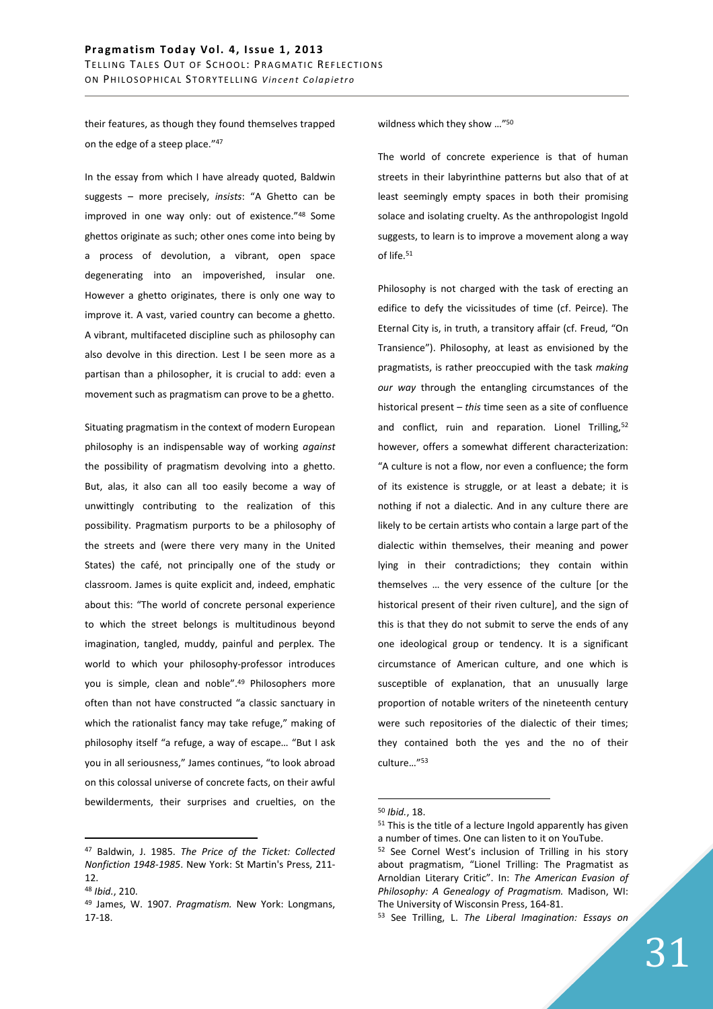their features, as though they found themselves trapped on the edge of a steep place."<sup>47</sup>

In the essay from which I have already quoted, Baldwin suggests – more precisely, *insists*: "A Ghetto can be improved in one way only: out of existence."<sup>48</sup> Some ghettos originate as such; other ones come into being by a process of devolution, a vibrant, open space degenerating into an impoverished, insular one. However a ghetto originates, there is only one way to improve it. A vast, varied country can become a ghetto. A vibrant, multifaceted discipline such as philosophy can also devolve in this direction. Lest I be seen more as a partisan than a philosopher, it is crucial to add: even a movement such as pragmatism can prove to be a ghetto.

Situating pragmatism in the context of modern European philosophy is an indispensable way of working *against* the possibility of pragmatism devolving into a ghetto. But, alas, it also can all too easily become a way of unwittingly contributing to the realization of this possibility. Pragmatism purports to be a philosophy of the streets and (were there very many in the United States) the café, not principally one of the study or classroom. James is quite explicit and, indeed, emphatic about this: "The world of concrete personal experience to which the street belongs is multitudinous beyond imagination, tangled, muddy, painful and perplex. The world to which your philosophy-professor introduces you is simple, clean and noble".<sup>49</sup> Philosophers more often than not have constructed "a classic sanctuary in which the rationalist fancy may take refuge," making of philosophy itself "a refuge, a way of escape… "But I ask you in all seriousness," James continues, "to look abroad on this colossal universe of concrete facts, on their awful bewilderments, their surprises and cruelties, on the

 $\overline{a}$ 

wildness which they show …"<sup>50</sup>

The world of concrete experience is that of human streets in their labyrinthine patterns but also that of at least seemingly empty spaces in both their promising solace and isolating cruelty. As the anthropologist Ingold suggests, to learn is to improve a movement along a way of life.<sup>51</sup>

Philosophy is not charged with the task of erecting an edifice to defy the vicissitudes of time (cf. Peirce). The Eternal City is, in truth, a transitory affair (cf. Freud, "On Transience"). Philosophy, at least as envisioned by the pragmatists, is rather preoccupied with the task *making our way* through the entangling circumstances of the historical present – *this* time seen as a site of confluence and conflict, ruin and reparation. Lionel Trilling,<sup>52</sup> however, offers a somewhat different characterization: "A culture is not a flow, nor even a confluence; the form of its existence is struggle, or at least a debate; it is nothing if not a dialectic. And in any culture there are likely to be certain artists who contain a large part of the dialectic within themselves, their meaning and power lying in their contradictions; they contain within themselves … the very essence of the culture [or the historical present of their riven culture], and the sign of this is that they do not submit to serve the ends of any one ideological group or tendency. It is a significant circumstance of American culture, and one which is susceptible of explanation, that an unusually large proportion of notable writers of the nineteenth century were such repositories of the dialectic of their times; they contained both the yes and the no of their culture…"<sup>53</sup>

<sup>47</sup> Baldwin, J. 1985. *The Price of the Ticket: Collected Nonfiction 1948-1985*. New York: St Martin's Press, 211- 12.

<sup>48</sup> *Ibid.*, 210.

<sup>49</sup> James, W. 1907. *Pragmatism.* New York: Longmans, 17-18.

<sup>50</sup> *Ibid.*, 18.

 $51$  This is the title of a lecture Ingold apparently has given a number of times. One can listen to it on YouTube.

<sup>52</sup> See Cornel West's inclusion of Trilling in his story about pragmatism, "Lionel Trilling: The Pragmatist as Arnoldian Literary Critic". In: *The American Evasion of Philosophy: A Genealogy of Pragmatism.* Madison, WI: The University of Wisconsin Press, 164-81.

<sup>53</sup> See Trilling, L. *The Liberal Imagination: Essays on*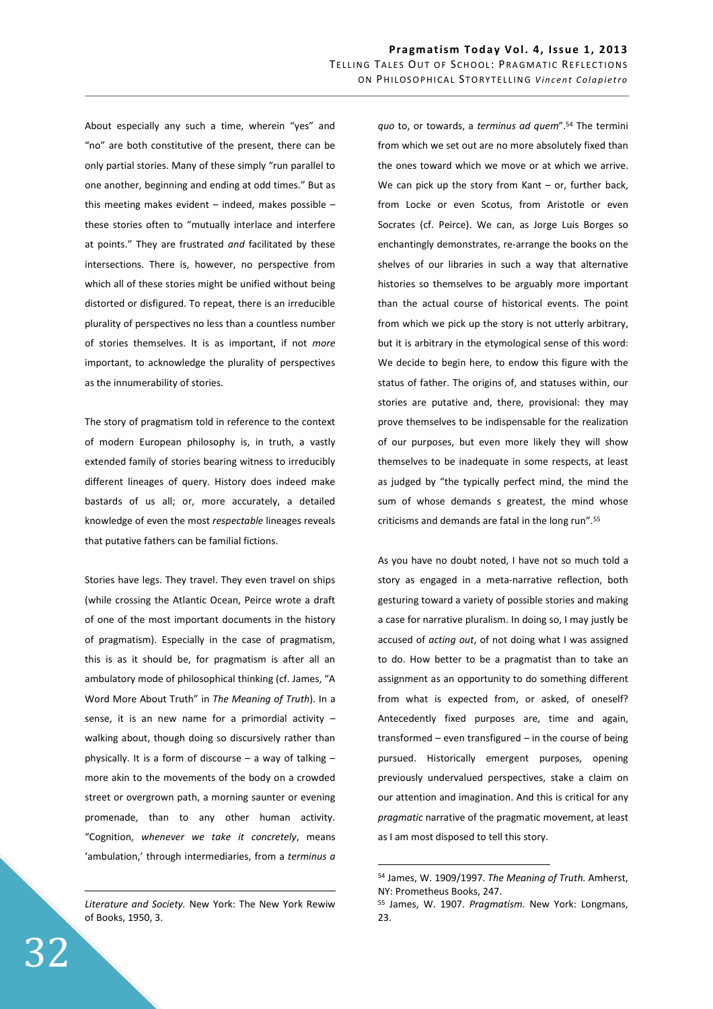About especially any such a time, wherein "yes" and "no" are both constitutive of the present, there can be only partial stories. Many of these simply "run parallel to one another, beginning and ending at odd times." But as this meeting makes evident – indeed, makes possible – these stories often to "mutually interlace and interfere at points." They are frustrated *and* facilitated by these intersections. There is, however, no perspective from which all of these stories might be unified without being distorted or disfigured. To repeat, there is an irreducible plurality of perspectives no less than a countless number of stories themselves. It is as important, if not *more* important, to acknowledge the plurality of perspectives as the innumerability of stories.

The story of pragmatism told in reference to the context of modern European philosophy is, in truth, a vastly extended family of stories bearing witness to irreducibly different lineages of query. History does indeed make bastards of us all; or, more accurately, a detailed knowledge of even the most *respectable* lineages reveals that putative fathers can be familial fictions.

Stories have legs. They travel. They even travel on ships (while crossing the Atlantic Ocean, Peirce wrote a draft of one of the most important documents in the history of pragmatism). Especially in the case of pragmatism, this is as it should be, for pragmatism is after all an ambulatory mode of philosophical thinking (cf. James, "A Word More About Truth" in *The Meaning of Truth*). In a sense, it is an new name for a primordial activity – walking about, though doing so discursively rather than physically. It is a form of discourse – a way of talking – more akin to the movements of the body on a crowded street or overgrown path, a morning saunter or evening promenade, than to any other human activity. "Cognition, *whenever we take it concretely*, means 'ambulation,' through intermediaries, from a *terminus a* 

<u>.</u> *Literature and Society.* New York: The New York Rewiw of Books, 1950, 3.

*quo* to, or towards, a *terminus ad quem*".<sup>54</sup> The termini from which we set out are no more absolutely fixed than the ones toward which we move or at which we arrive. We can pick up the story from Kant – or, further back, from Locke or even Scotus, from Aristotle or even Socrates (cf. Peirce). We can, as Jorge Luis Borges so enchantingly demonstrates, re-arrange the books on the shelves of our libraries in such a way that alternative histories so themselves to be arguably more important than the actual course of historical events. The point from which we pick up the story is not utterly arbitrary, but it is arbitrary in the etymological sense of this word: We decide to begin here, to endow this figure with the status of father. The origins of, and statuses within, our stories are putative and, there, provisional: they may prove themselves to be indispensable for the realization of our purposes, but even more likely they will show themselves to be inadequate in some respects, at least as judged by "the typically perfect mind, the mind the sum of whose demands s greatest, the mind whose criticisms and demands are fatal in the long run".<sup>55</sup>

As you have no doubt noted, I have not so much told a story as engaged in a meta-narrative reflection, both gesturing toward a variety of possible stories and making a case for narrative pluralism. In doing so, I may justly be accused of *acting out*, of not doing what I was assigned to do. How better to be a pragmatist than to take an assignment as an opportunity to do something different from what is expected from, or asked, of oneself? Antecedently fixed purposes are, time and again, transformed – even transfigured – in the course of being pursued. Historically emergent purposes, opening previously undervalued perspectives, stake a claim on our attention and imagination. And this is critical for any *pragmatic* narrative of the pragmatic movement, at least as I am most disposed to tell this story.

<sup>54</sup> James, W. 1909/1997. *The Meaning of Truth.* Amherst, NY: Prometheus Books, 247.

<sup>55</sup> James, W. 1907. *Pragmatism*. New York: Longmans, 23.